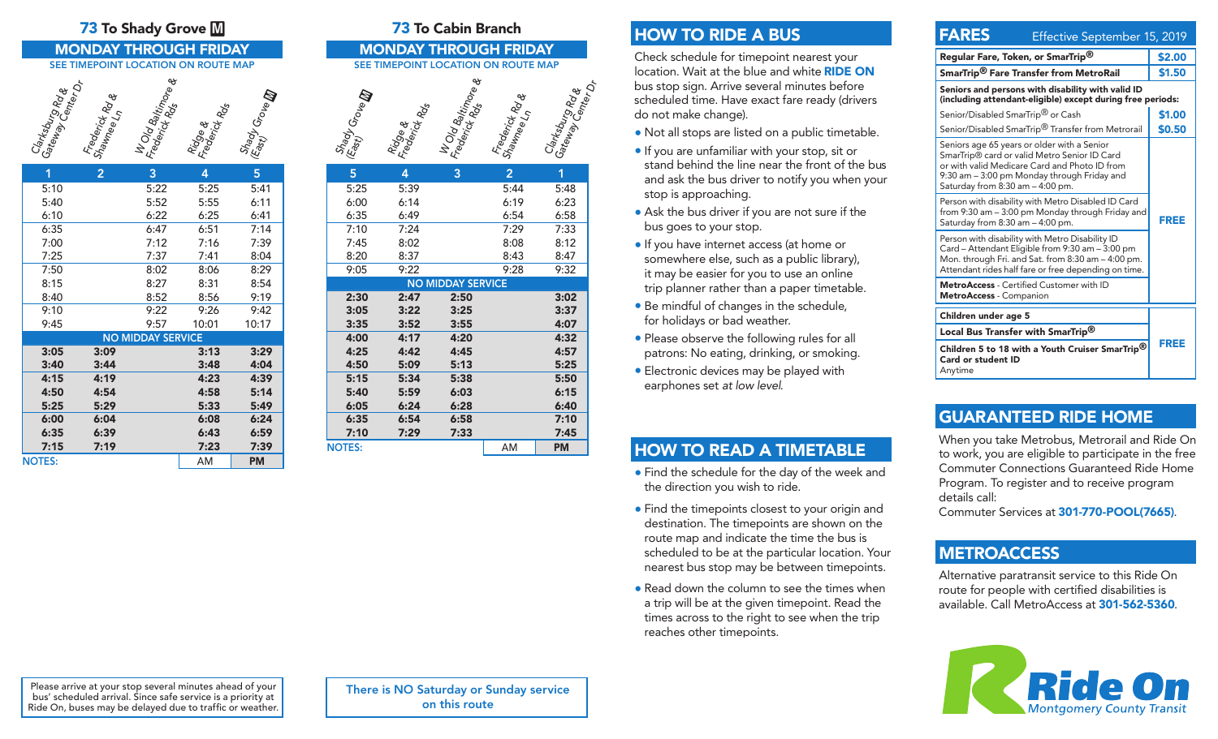### **73** To Shady Grove M **73** To Cabin Branch

### MONDAY THROUGH FRIDAY SEE TIMEPOINT LOCATION ON ROUTE MAP

# Clarksburg Rd &<br>Gateway Center of<br>Center Or Frederick Rd &<br>Shawnee Ln<br>Hold Baltimore &<br>Fridge &<br>Frederick Rds<br>East) Growe **M**

| 1                        | $\overline{2}$ | 3    | 4     | 5         |  |
|--------------------------|----------------|------|-------|-----------|--|
| 5:10                     |                | 5:22 | 5:25  | 5:41      |  |
| 5:40                     |                | 5:52 | 5:55  | 6:11      |  |
| 6:10                     |                | 6:22 | 6:25  | 6:41      |  |
| 6:35                     |                | 6:47 | 6:51  | 7:14      |  |
| 7:00                     |                | 7:12 | 7:16  | 7:39      |  |
| 7:25                     |                | 7:37 | 7:41  | 8:04      |  |
| 7:50                     |                | 8:02 | 8:06  | 8:29      |  |
| 8:15                     |                | 8:27 | 8:31  | 8:54      |  |
| 8:40                     |                | 8:52 | 8:56  | 9:19      |  |
| 9:10                     |                | 9:22 | 9:26  | 9:42      |  |
| 9:45                     |                | 9:57 | 10:01 | 10:17     |  |
| <b>NO MIDDAY SERVICE</b> |                |      |       |           |  |
| 3:05                     | 3:09           |      | 3:13  | 3:29      |  |
| 3:40                     | 3:44           |      | 3:48  | 4:04      |  |
| 4:15                     | 4:19           |      | 4:23  | 4:39      |  |
| 4:50                     | 4:54           |      | 4:58  | 5:14      |  |
| 5:25                     | 5:29           |      | 5:33  | 5:49      |  |
| 6:00                     | 6:04           |      | 6:08  | 6:24      |  |
| 6:35                     | 6:39           |      | 6:43  | 6:59      |  |
| 7:15                     | 7:19           |      | 7:23  | 7:39      |  |
| <b>NOTES:</b>            |                |      | AM    | <b>PM</b> |  |

### MONDAY THROUGH FRIDAY SEE TIMEPOINT LOCATION ON ROUTE MAP



## HOW TO RIDE A BUS

Check schedule for timepoint nearest your location. Wait at the blue and white RIDE ON bus stop sign. Arrive several minutes before scheduled time. Have exact fare ready (drivers do not make change).

- Not all stops are listed on a public timetable.
- If you are unfamiliar with your stop, sit or stand behind the line near the front of the bus and ask the bus driver to notify you when your stop is approaching.
- Ask the bus driver if you are not sure if the bus goes to your stop.
- If you have internet access (at home or somewhere else, such as a public library), it may be easier for you to use an online trip planner rather than a paper timetable.
- Be mindful of changes in the schedule, for holidays or bad weather.
- Please observe the following rules for all patrons: No eating, drinking, or smoking.
- Electronic devices may be played with earphones set *at low level*.

## HOW TO READ A TIMETABLE

- Find the schedule for the day of the week and the direction you wish to ride.
- Find the timepoints closest to your origin and destination. The timepoints are shown on the route map and indicate the time the bus is scheduled to be at the particular location. Your nearest bus stop may be between timepoints.
- Read down the column to see the times when a trip will be at the given timepoint. Read the times across to the right to see when the trip reaches other timepoints.

## **FARES** Effective September 15, 2019

| Regular Fare, Token, or SmarTrip <sup>®</sup>                                                                                                                                                                                               | \$2.00 |  |  |
|---------------------------------------------------------------------------------------------------------------------------------------------------------------------------------------------------------------------------------------------|--------|--|--|
| SmarTrip <sup>®</sup> Fare Transfer from MetroRail                                                                                                                                                                                          | \$1.50 |  |  |
| Seniors and persons with disability with valid ID<br>(including attendant-eligible) except during free periods:                                                                                                                             |        |  |  |
| Senior/Disabled SmarTrip <sup>®</sup> or Cash                                                                                                                                                                                               | \$1.00 |  |  |
| Senior/Disabled SmarTrip <sup>®</sup> Transfer from Metrorail                                                                                                                                                                               | \$0.50 |  |  |
| Seniors age 65 years or older with a Senior<br>SmarTrip <sup>®</sup> card or valid Metro Senior ID Card<br>or with valid Medicare Card and Photo ID from<br>9:30 am - 3:00 pm Monday through Friday and<br>Saturday from 8:30 am - 4:00 pm. |        |  |  |
| Person with disability with Metro Disabled ID Card<br>from 9:30 am - 3:00 pm Monday through Friday and<br>Saturday from 8:30 am - 4:00 pm.                                                                                                  | FREE   |  |  |
| Person with disability with Metro Disability ID<br>Card - Attendant Eligible from 9:30 am - 3:00 pm<br>Mon. through Fri. and Sat. from 8:30 am – 4:00 pm.<br>Attendant rides half fare or free depending on time.                           |        |  |  |
| MetroAccess - Certified Customer with ID<br><b>MetroAccess</b> - Companion                                                                                                                                                                  |        |  |  |
| Children under age 5                                                                                                                                                                                                                        |        |  |  |
| Local Bus Transfer with SmarTrip <sup>®</sup>                                                                                                                                                                                               |        |  |  |
| Children 5 to 18 with a Youth Cruiser SmarTrip <sup>®</sup><br>Card or student ID<br>Anytime                                                                                                                                                | FREE   |  |  |

## GUARANTEED RIDE HOME

When you take Metrobus, Metrorail and Ride On to work, you are eligible to participate in the free Commuter Connections Guaranteed Ride Home Program. To register and to receive program details call:

Commuter Services at 301-770-POOL(7665).

## **METROACCESS**

Alternative paratransit service to this Ride On route for people with certified disabilities is available. Call MetroAccess at 301-562-5360.



Please arrive at your stop several minutes ahead of your bus' scheduled arrival. Since safe service is a priority at Ride On, buses may be delayed due to traffic or weather. There is NO Saturday or Sunday service on this route